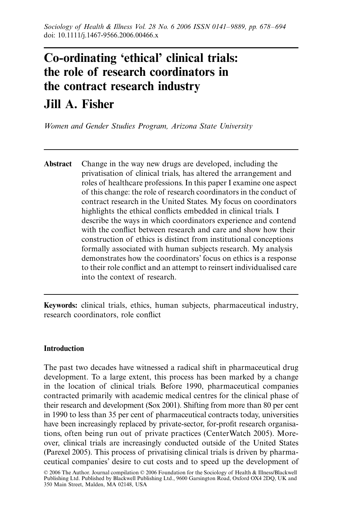*Sociology of Health & Illness Vol. 28 No. 6 2006 ISSN 0141–9889, pp. 678–694* doi: 10.1111/j.1467-9566.2006.00466.x

# **Co-ordinating 'ethical' clinical trials: the role of research coordinators in the contract research industry Jill A. Fisher**

*Women and Gender Studies Program, Arizona State University*

**Abstract** Change in the way new drugs are developed, including the privatisation of clinical trials, has altered the arrangement and roles of healthcare professions. In this paper I examine one aspect of this change: the role of research coordinators in the conduct of contract research in the United States. My focus on coordinators highlights the ethical conflicts embedded in clinical trials. I describe the ways in which coordinators experience and contend with the conflict between research and care and show how their construction of ethics is distinct from institutional conceptions formally associated with human subjects research. My analysis demonstrates how the coordinators' focus on ethics is a response to their role conflict and an attempt to reinsert individualised care into the context of research.

**Keywords:** clinical trials, ethics, human subjects, pharmaceutical industry, research coordinators, role conflict

### **Introduction**

BOS0©26CJi18lHoxralB4icf-gIAcooL1liiakor.nr-dwcdl9Faok,i8eilngswU8lAaylhe9KtrPeoiltnlriufcPgbHleul'iesbtahlhilsitinchhgai&nlL'gcItldlLlinntedics/aEsldtirtioarlisal Board 2006

The past two decades have witnessed a radical shift in pharmaceutical drug development. To a large extent, this process has been marked by a change in the location of clinical trials. Before 1990, pharmaceutical companies contracted primarily with academic medical centres for the clinical phase of their research and development (Sox 2001). Shifting from more than 80 per cent in 1990 to less than 35 per cent of pharmaceutical contracts today, universities have been increasingly replaced by private-sector, for-profit research organisations, often being run out of private practices (CenterWatch 2005). Moreover, clinical trials are increasingly conducted outside of the United States (Parexel 2005). This process of privatising clinical trials is driven by pharmaceutical companies' desire to cut costs and to speed up the development of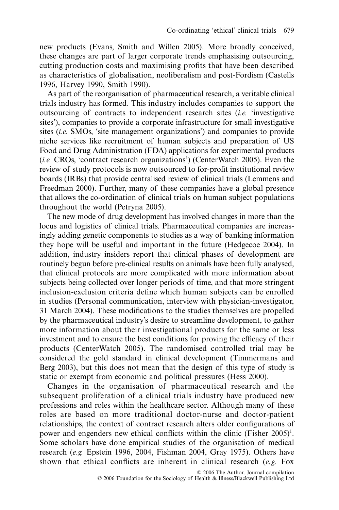new products (Evans, Smith and Willen 2005). More broadly conceived, these changes are part of larger corporate trends emphasising outsourcing, cutting production costs and maximising profits that have been described as characteristics of globalisation, neoliberalism and post-Fordism (Castells 1996, Harvey 1990, Smith 1990).

As part of the reorganisation of pharmaceutical research, a veritable clinical trials industry has formed. This industry includes companies to support the outsourcing of contracts to independent research sites (*i.e.* 'investigative sites'), companies to provide a corporate infrastructure for small investigative sites (*i.e.* SMOs, 'site management organizations') and companies to provide niche services like recruitment of human subjects and preparation of US Food and Drug Administration (FDA) applications for experimental products (*i.e.* CROs, 'contract research organizations') (CenterWatch 2005). Even the review of study protocols is now outsourced to for-profit institutional review boards (IRBs) that provide centralised review of clinical trials (Lemmens and Freedman 2000). Further, many of these companies have a global presence that allows the co-ordination of clinical trials on human subject populations throughout the world (Petryna 2005).

The new mode of drug development has involved changes in more than the locus and logistics of clinical trials. Pharmaceutical companies are increasingly adding genetic components to studies as a way of banking information they hope will be useful and important in the future (Hedgecoe 2004). In addition, industry insiders report that clinical phases of development are routinely begun before pre-clinical results on animals have been fully analysed, that clinical protocols are more complicated with more information about subjects being collected over longer periods of time, and that more stringent inclusion-exclusion criteria define which human subjects can be enrolled in studies (Personal communication, interview with physician-investigator, 31 March 2004). These modifications to the studies themselves are propelled by the pharmaceutical industry's desire to streamline development, to gather more information about their investigational products for the same or less investment and to ensure the best conditions for proving the efficacy of their products (CenterWatch 2005). The randomised controlled trial may be considered the gold standard in clinical development (Timmermans and Berg 2003), but this does not mean that the design of this type of study is static or exempt from economic and political pressures (Hess 2000).

Changes in the organisation of pharmaceutical research and the subsequent proliferation of a clinical trials industry have produced new professions and roles within the healthcare sector. Although many of these roles are based on more traditional doctor-nurse and doctor-patient relationships, the context of contract research alters older configurations of power and engenders new ethical conflicts within the clinic (Fisher  $2005$ )<sup>1</sup>. Some scholars have done empirical studies of the organisation of medical research (*e.g.* Epstein 1996, 2004, Fishman 2004, Gray 1975). Others have shown that ethical conflicts are inherent in clinical research (*e.g.* Fox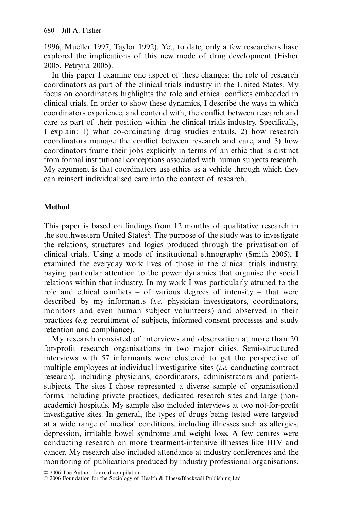1996, Mueller 1997, Taylor 1992). Yet, to date, only a few researchers have explored the implications of this new mode of drug development (Fisher 2005, Petryna 2005).

In this paper I examine one aspect of these changes: the role of research coordinators as part of the clinical trials industry in the United States. My focus on coordinators highlights the role and ethical conflicts embedded in clinical trials. In order to show these dynamics, I describe the ways in which coordinators experience, and contend with, the conflict between research and care as part of their position within the clinical trials industry. Specifically, I explain: 1) what co-ordinating drug studies entails, 2) how research coordinators manage the conflict between research and care, and 3) how coordinators frame their jobs explicitly in terms of an ethic that is distinct from formal institutional conceptions associated with human subjects research. My argument is that coordinators use ethics as a vehicle through which they can reinsert individualised care into the context of research.

# **Method**

This paper is based on findings from 12 months of qualitative research in the southwestern United States<sup>2</sup>. The purpose of the study was to investigate the relations, structures and logics produced through the privatisation of clinical trials. Using a mode of institutional ethnography (Smith 2005), I examined the everyday work lives of those in the clinical trials industry, paying particular attention to the power dynamics that organise the social relations within that industry. In my work I was particularly attuned to the role and ethical conflicts – of various degrees of intensity – that were described by my informants (*i.e.* physician investigators, coordinators, monitors and even human subject volunteers) and observed in their practices (*e.g.* recruitment of subjects, informed consent processes and study retention and compliance).

My research consisted of interviews and observation at more than 20 for-profit research organisations in two major cities. Semi-structured interviews with 57 informants were clustered to get the perspective of multiple employees at individual investigative sites (*i.e.* conducting contract research), including physicians, coordinators, administrators and patientsubjects. The sites I chose represented a diverse sample of organisational forms, including private practices, dedicated research sites and large (nonacademic) hospitals. My sample also included interviews at two not-for-profit investigative sites. In general, the types of drugs being tested were targeted at a wide range of medical conditions, including illnesses such as allergies, depression, irritable bowel syndrome and weight loss. A few centres were conducting research on more treatment-intensive illnesses like HIV and cancer. My research also included attendance at industry conferences and the monitoring of publications produced by industry professional organisations.

<sup>© 2006</sup> The Author. Journal compilation

<sup>© 2006</sup> Foundation for the Sociology of Health & Illness/Blackwell Publishing Ltd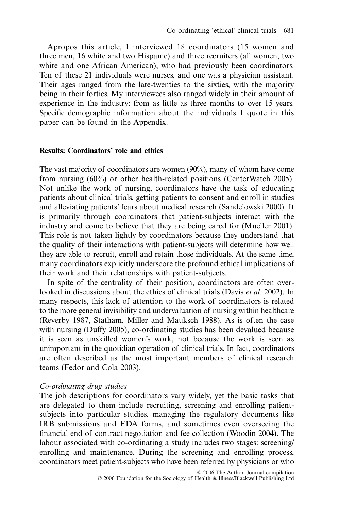Apropos this article, I interviewed 18 coordinators (15 women and three men, 16 white and two Hispanic) and three recruiters (all women, two white and one African American), who had previously been coordinators. Ten of these 21 individuals were nurses, and one was a physician assistant. Their ages ranged from the late-twenties to the sixties, with the majority being in their forties. My interviewees also ranged widely in their amount of experience in the industry: from as little as three months to over 15 years. Specific demographic information about the individuals I quote in this paper can be found in the Appendix.

#### **Results: Coordinators' role and ethics**

The vast majority of coordinators are women (90%), many of whom have come from nursing (60%) or other health-related positions (CenterWatch 2005). Not unlike the work of nursing, coordinators have the task of educating patients about clinical trials, getting patients to consent and enroll in studies and alleviating patients' fears about medical research (Sandelowski 2000). It is primarily through coordinators that patient-subjects interact with the industry and come to believe that they are being cared for (Mueller 2001). This role is not taken lightly by coordinators because they understand that the quality of their interactions with patient-subjects will determine how well they are able to recruit, enroll and retain those individuals. At the same time, many coordinators explicitly underscore the profound ethical implications of their work and their relationships with patient-subjects.

In spite of the centrality of their position, coordinators are often overlooked in discussions about the ethics of clinical trials (Davis *et al.* 2002). In many respects, this lack of attention to the work of coordinators is related to the more general invisibility and undervaluation of nursing within healthcare (Reverby 1987, Statham, Miller and Mauksch 1988). As is often the case with nursing (Duffy 2005), co-ordinating studies has been devalued because it is seen as unskilled women's work, not because the work is seen as unimportant in the quotidian operation of clinical trials. In fact, coordinators are often described as the most important members of clinical research teams (Fedor and Cola 2003).

#### *Co-ordinating drug studies*

The job descriptions for coordinators vary widely, yet the basic tasks that are delegated to them include recruiting, screening and enrolling patientsubjects into particular studies, managing the regulatory documents like IRB submissions and FDA forms, and sometimes even overseeing the financial end of contract negotiation and fee collection (Woodin 2004). The labour associated with co-ordinating a study includes two stages: screening/ enrolling and maintenance. During the screening and enrolling process, coordinators meet patient-subjects who have been referred by physicians or who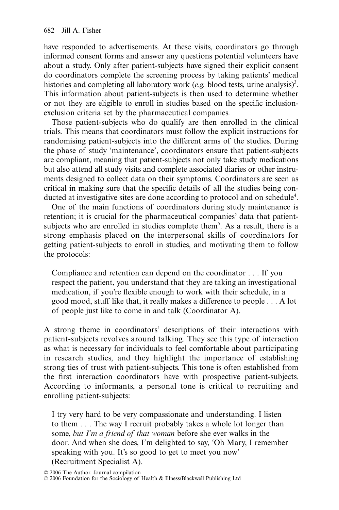have responded to advertisements. At these visits, coordinators go through informed consent forms and answer any questions potential volunteers have about a study. Only after patient-subjects have signed their explicit consent do coordinators complete the screening process by taking patients' medical histories and completing all laboratory work (*e.g.* blood tests, urine analysis) 3 . This information about patient-subjects is then used to determine whether or not they are eligible to enroll in studies based on the specific inclusionexclusion criteria set by the pharmaceutical companies.

Those patient-subjects who do qualify are then enrolled in the clinical trials. This means that coordinators must follow the explicit instructions for randomising patient-subjects into the different arms of the studies. During the phase of study 'maintenance', coordinators ensure that patient-subjects are compliant, meaning that patient-subjects not only take study medications but also attend all study visits and complete associated diaries or other instruments designed to collect data on their symptoms. Coordinators are seen as critical in making sure that the specific details of all the studies being conducted at investigative sites are done according to protocol and on schedule<sup>4</sup>.

One of the main functions of coordinators during study maintenance is retention; it is crucial for the pharmaceutical companies' data that patientsubjects who are enrolled in studies complete them<sup>5</sup>. As a result, there is a strong emphasis placed on the interpersonal skills of coordinators for getting patient-subjects to enroll in studies, and motivating them to follow the protocols:

Compliance and retention can depend on the coordinator . . . If you respect the patient, you understand that they are taking an investigational medication, if you're flexible enough to work with their schedule, in a good mood, stuff like that, it really makes a difference to people . . . A lot of people just like to come in and talk (Coordinator A).

A strong theme in coordinators' descriptions of their interactions with patient-subjects revolves around talking. They see this type of interaction as what is necessary for individuals to feel comfortable about participating in research studies, and they highlight the importance of establishing strong ties of trust with patient-subjects. This tone is often established from the first interaction coordinators have with prospective patient-subjects. According to informants, a personal tone is critical to recruiting and enrolling patient-subjects:

I try very hard to be very compassionate and understanding. I listen to them . . . The way I recruit probably takes a whole lot longer than some, *but I'm a friend of that woman* before she ever walks in the door. And when she does, I'm delighted to say, 'Oh Mary, I remember speaking with you. It's so good to get to meet you now' (Recruitment Specialist A).

<sup>© 2006</sup> The Author. Journal compilation

<sup>© 2006</sup> Foundation for the Sociology of Health & Illness/Blackwell Publishing Ltd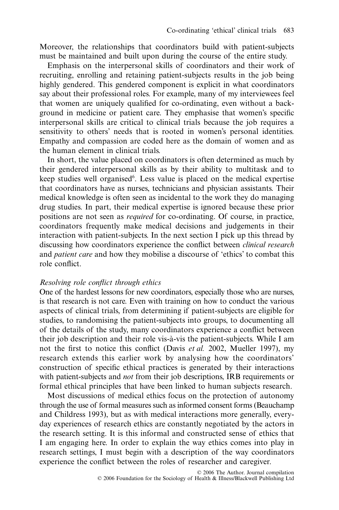Moreover, the relationships that coordinators build with patient-subjects must be maintained and built upon during the course of the entire study.

Emphasis on the interpersonal skills of coordinators and their work of recruiting, enrolling and retaining patient-subjects results in the job being highly gendered. This gendered component is explicit in what coordinators say about their professional roles. For example, many of my interviewees feel that women are uniquely qualified for co-ordinating, even without a background in medicine or patient care. They emphasise that women's specific interpersonal skills are critical to clinical trials because the job requires a sensitivity to others' needs that is rooted in women's personal identities. Empathy and compassion are coded here as the domain of women and as the human element in clinical trials.

In short, the value placed on coordinators is often determined as much by their gendered interpersonal skills as by their ability to multitask and to keep studies well organised<sup>6</sup>. Less value is placed on the medical expertise that coordinators have as nurses, technicians and physician assistants. Their medical knowledge is often seen as incidental to the work they do managing drug studies. In part, their medical expertise is ignored because these prior positions are not seen as *required* for co-ordinating. Of course, in practice, coordinators frequently make medical decisions and judgements in their interaction with patient-subjects. In the next section I pick up this thread by discussing how coordinators experience the conflict between *clinical research* and *patient care* and how they mobilise a discourse of 'ethics' to combat this role conflict.

#### *Resolving role conflict through ethics*

One of the hardest lessons for new coordinators, especially those who are nurses, is that research is not care. Even with training on how to conduct the various aspects of clinical trials, from determining if patient-subjects are eligible for studies, to randomising the patient-subjects into groups, to documenting all of the details of the study, many coordinators experience a conflict between their job description and their role vis-à-vis the patient-subjects. While I am not the first to notice this conflict (Davis *et al.* 2002, Mueller 1997), my research extends this earlier work by analysing how the coordinators' construction of specific ethical practices is generated by their interactions with patient-subjects and *not* from their job descriptions, IRB requirements or formal ethical principles that have been linked to human subjects research.

Most discussions of medical ethics focus on the protection of autonomy through the use of formal measures such as informed consent forms (Beauchamp and Childress 1993), but as with medical interactions more generally, everyday experiences of research ethics are constantly negotiated by the actors in the research setting. It is this informal and constructed sense of ethics that I am engaging here. In order to explain the way ethics comes into play in research settings, I must begin with a description of the way coordinators experience the conflict between the roles of researcher and caregiver.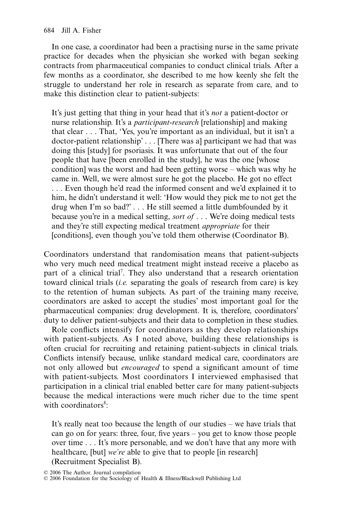In one case, a coordinator had been a practising nurse in the same private practice for decades when the physician she worked with began seeking contracts from pharmaceutical companies to conduct clinical trials. After a few months as a coordinator, she described to me how keenly she felt the struggle to understand her role in research as separate from care, and to make this distinction clear to patient-subjects:

It's just getting that thing in your head that it's *not* a patient-doctor or nurse relationship. It's a *participant-research* [relationship] and making that clear . . . That, 'Yes, you're important as an individual, but it isn't a doctor-patient relationship' . . . [There was a] participant we had that was doing this [study] for psoriasis. It was unfortunate that out of the four people that have [been enrolled in the study], he was the one [whose condition] was the worst and had been getting worse – which was why he came in. Well, we were almost sure he got the placebo. He got no effect . . . Even though he'd read the informed consent and we'd explained it to him, he didn't understand it well: 'How would they pick me to not get the drug when I'm so bad?' . . . He still seemed a little dumbfounded by it because you're in a medical setting, *sort of* . . . We're doing medical tests and they're still expecting medical treatment *appropriate* for their [conditions], even though you've told them otherwise (Coordinator B).

Coordinators understand that randomisation means that patient-subjects who very much need medical treatment might instead receive a placebo as part of a clinical trial<sup>7</sup>. They also understand that a research orientation toward clinical trials (*i.e.* separating the goals of research from care) is key to the retention of human subjects. As part of the training many receive, coordinators are asked to accept the studies' most important goal for the pharmaceutical companies: drug development. It is, therefore, coordinators' duty to deliver patient-subjects and their data to completion in these studies.

Role conflicts intensify for coordinators as they develop relationships with patient-subjects. As I noted above, building these relationships is often crucial for recruiting and retaining patient-subjects in clinical trials. Conflicts intensify because, unlike standard medical care, coordinators are not only allowed but *encouraged* to spend a significant amount of time with patient-subjects. Most coordinators I interviewed emphasised that participation in a clinical trial enabled better care for many patient-subjects because the medical interactions were much richer due to the time spent with coordinators<sup>8</sup>:

It's really neat too because the length of our studies – we have trials that can go on for years: three, four, five years – you get to know those people over time . . . It's more personable, and we don't have that any more with healthcare, [but] *we're* able to give that to people [in research] (Recruitment Specialist B).

© 2006 The Author. Journal compilation

<sup>© 2006</sup> Foundation for the Sociology of Health & Illness/Blackwell Publishing Ltd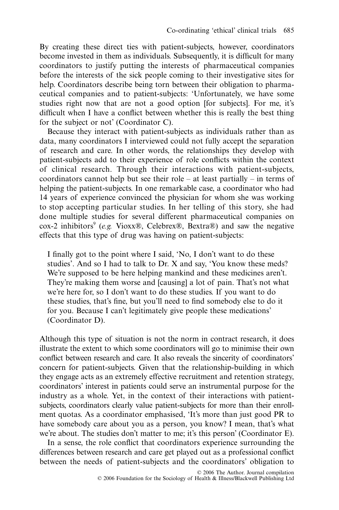By creating these direct ties with patient-subjects, however, coordinators become invested in them as individuals. Subsequently, it is difficult for many coordinators to justify putting the interests of pharmaceutical companies before the interests of the sick people coming to their investigative sites for help. Coordinators describe being torn between their obligation to pharmaceutical companies and to patient-subjects: 'Unfortunately, we have some studies right now that are not a good option [for subjects]. For me, it's difficult when I have a conflict between whether this is really the best thing for the subject or not' (Coordinator C).

Because they interact with patient-subjects as individuals rather than as data, many coordinators I interviewed could not fully accept the separation of research and care. In other words, the relationships they develop with patient-subjects add to their experience of role conflicts within the context of clinical research. Through their interactions with patient-subjects, coordinators cannot help but see their role – at least partially – in terms of helping the patient-subjects. In one remarkable case, a coordinator who had 14 years of experience convinced the physician for whom she was working to stop accepting particular studies. In her telling of this story, she had done multiple studies for several different pharmaceutical companies on cox-2 inhibitors<sup>9</sup> (*e.g.* Vioxx®, Celebrex®, Bextra®) and saw the negative effects that this type of drug was having on patient-subjects:

I finally got to the point where I said, 'No, I don't want to do these studies'. And so I had to talk to Dr. X and say, 'You know these meds? We're supposed to be here helping mankind and these medicines aren't. They're making them worse and [causing] a lot of pain. That's not what we're here for, so I don't want to do these studies. If you want to do these studies, that's fine, but you'll need to find somebody else to do it for you. Because I can't legitimately give people these medications' (Coordinator D).

Although this type of situation is not the norm in contract research, it does illustrate the extent to which some coordinators will go to minimise their own conflict between research and care. It also reveals the sincerity of coordinators' concern for patient-subjects. Given that the relationship-building in which they engage acts as an extremely effective recruitment and retention strategy, coordinators' interest in patients could serve an instrumental purpose for the industry as a whole. Yet, in the context of their interactions with patientsubjects, coordinators clearly value patient-subjects for more than their enrollment quotas. As a coordinator emphasised, 'It's more than just good PR to have somebody care about you as a person, you know? I mean, that's what we're about. The studies don't matter to me; it's this person' (Coordinator E).

In a sense, the role conflict that coordinators experience surrounding the differences between research and care get played out as a professional conflict between the needs of patient-subjects and the coordinators' obligation to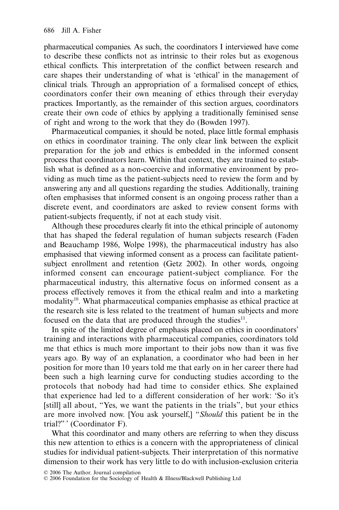pharmaceutical companies. As such, the coordinators I interviewed have come to describe these conflicts not as intrinsic to their roles but as exogenous ethical conflicts. This interpretation of the conflict between research and care shapes their understanding of what is 'ethical' in the management of clinical trials. Through an appropriation of a formalised concept of ethics, coordinators confer their own meaning of ethics through their everyday practices. Importantly, as the remainder of this section argues, coordinators create their own code of ethics by applying a traditionally feminised sense of right and wrong to the work that they do (Bowden 1997).

Pharmaceutical companies, it should be noted, place little formal emphasis on ethics in coordinator training. The only clear link between the explicit preparation for the job and ethics is embedded in the informed consent process that coordinators learn. Within that context, they are trained to establish what is defined as a non-coercive and informative environment by providing as much time as the patient-subjects need to review the form and by answering any and all questions regarding the studies. Additionally, training often emphasises that informed consent is an ongoing process rather than a discrete event, and coordinators are asked to review consent forms with patient-subjects frequently, if not at each study visit.

Although these procedures clearly fit into the ethical principle of autonomy that has shaped the federal regulation of human subjects research (Faden and Beauchamp 1986, Wolpe 1998), the pharmaceutical industry has also emphasised that viewing informed consent as a process can facilitate patientsubject enrollment and retention (Getz 2002). In other words, ongoing informed consent can encourage patient-subject compliance. For the pharmaceutical industry, this alternative focus on informed consent as a process effectively removes it from the ethical realm and into a marketing modality<sup>10</sup>. What pharmaceutical companies emphasise as ethical practice at the research site is less related to the treatment of human subjects and more focused on the data that are produced through the studies $11$ .

In spite of the limited degree of emphasis placed on ethics in coordinators' training and interactions with pharmaceutical companies, coordinators told me that ethics is much more important to their jobs now than it was five years ago. By way of an explanation, a coordinator who had been in her position for more than 10 years told me that early on in her career there had been such a high learning curve for conducting studies according to the protocols that nobody had had time to consider ethics. She explained that experience had led to a different consideration of her work: 'So it's [still] all about, "Yes, we want the patients in the trials", but your ethics are more involved now. [You ask yourself,] "*Should* this patient be in the trial?" ' (Coordinator F).

What this coordinator and many others are referring to when they discuss this new attention to ethics is a concern with the appropriateness of clinical studies for individual patient-subjects. Their interpretation of this normative dimension to their work has very little to do with inclusion-exclusion criteria

<sup>© 2006</sup> The Author. Journal compilation

<sup>© 2006</sup> Foundation for the Sociology of Health & Illness/Blackwell Publishing Ltd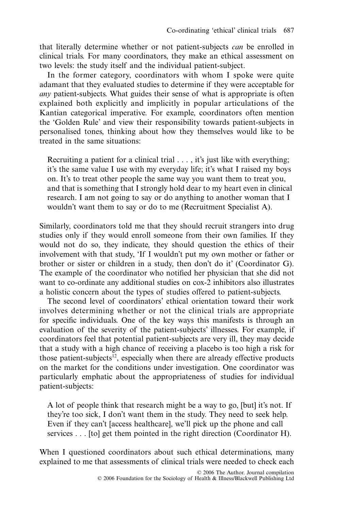that literally determine whether or not patient-subjects *can* be enrolled in clinical trials. For many coordinators, they make an ethical assessment on two levels: the study itself and the individual patient-subject.

In the former category, coordinators with whom I spoke were quite adamant that they evaluated studies to determine if they were acceptable for *any* patient-subjects. What guides their sense of what is appropriate is often explained both explicitly and implicitly in popular articulations of the Kantian categorical imperative. For example, coordinators often mention the 'Golden Rule' and view their responsibility towards patient-subjects in personalised tones, thinking about how they themselves would like to be treated in the same situations:

Recruiting a patient for a clinical trial . . . , it's just like with everything; it's the same value I use with my everyday life; it's what I raised my boys on. It's to treat other people the same way you want them to treat you, and that is something that I strongly hold dear to my heart even in clinical research. I am not going to say or do anything to another woman that I wouldn't want them to say or do to me (Recruitment Specialist A).

Similarly, coordinators told me that they should recruit strangers into drug studies only if they would enroll someone from their own families. If they would not do so, they indicate, they should question the ethics of their involvement with that study, 'If I wouldn't put my own mother or father or brother or sister or children in a study, then don't do it' (Coordinator G). The example of the coordinator who notified her physician that she did not want to co-ordinate any additional studies on cox-2 inhibitors also illustrates a holistic concern about the types of studies offered to patient-subjects.

The second level of coordinators' ethical orientation toward their work involves determining whether or not the clinical trials are appropriate for specific individuals. One of the key ways this manifests is through an evaluation of the severity of the patient-subjects' illnesses. For example, if coordinators feel that potential patient-subjects are very ill, they may decide that a study with a high chance of receiving a placebo is too high a risk for those patient-subjects<sup>12</sup>, especially when there are already effective products on the market for the conditions under investigation. One coordinator was particularly emphatic about the appropriateness of studies for individual patient-subjects:

A lot of people think that research might be a way to go, [but] it's not. If they're too sick, I don't want them in the study. They need to seek help. Even if they can't [access healthcare], we'll pick up the phone and call services . . . [to] get them pointed in the right direction (Coordinator H).

When I questioned coordinators about such ethical determinations, many explained to me that assessments of clinical trials were needed to check each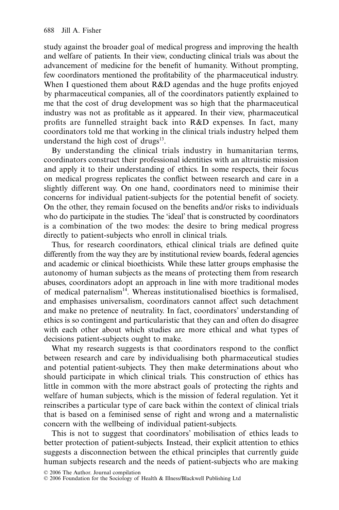study against the broader goal of medical progress and improving the health and welfare of patients. In their view, conducting clinical trials was about the advancement of medicine for the benefit of humanity. Without prompting, few coordinators mentioned the profitability of the pharmaceutical industry. When I questioned them about R&D agendas and the huge profits enjoyed by pharmaceutical companies, all of the coordinators patiently explained to me that the cost of drug development was so high that the pharmaceutical industry was not as profitable as it appeared. In their view, pharmaceutical profits are funnelled straight back into R&D expenses. In fact, many coordinators told me that working in the clinical trials industry helped them understand the high cost of drugs $13$ .

By understanding the clinical trials industry in humanitarian terms, coordinators construct their professional identities with an altruistic mission and apply it to their understanding of ethics. In some respects, their focus on medical progress replicates the conflict between research and care in a slightly different way. On one hand, coordinators need to minimise their concerns for individual patient-subjects for the potential benefit of society. On the other, they remain focused on the benefits and/or risks to individuals who do participate in the studies. The 'ideal' that is constructed by coordinators is a combination of the two modes: the desire to bring medical progress directly to patient-subjects who enroll in clinical trials.

Thus, for research coordinators, ethical clinical trials are defined quite differently from the way they are by institutional review boards, federal agencies and academic or clinical bioethicists. While these latter groups emphasise the autonomy of human subjects as the means of protecting them from research abuses, coordinators adopt an approach in line with more traditional modes of medical paternalism $14$ . Whereas institutionalised bioethics is formalised, and emphasises universalism, coordinators cannot affect such detachment and make no pretence of neutrality. In fact, coordinators' understanding of ethics is so contingent and particularistic that they can and often do disagree with each other about which studies are more ethical and what types of decisions patient-subjects ought to make.

What my research suggests is that coordinators respond to the conflict between research and care by individualising both pharmaceutical studies and potential patient-subjects. They then make determinations about who should participate in which clinical trials. This construction of ethics has little in common with the more abstract goals of protecting the rights and welfare of human subjects, which is the mission of federal regulation. Yet it reinscribes a particular type of care back within the context of clinical trials that is based on a feminised sense of right and wrong and a maternalistic concern with the wellbeing of individual patient-subjects.

This is not to suggest that coordinators' mobilisation of ethics leads to better protection of patient-subjects. Instead, their explicit attention to ethics suggests a disconnection between the ethical principles that currently guide human subjects research and the needs of patient-subjects who are making

<sup>© 2006</sup> The Author. Journal compilation

<sup>© 2006</sup> Foundation for the Sociology of Health & Illness/Blackwell Publishing Ltd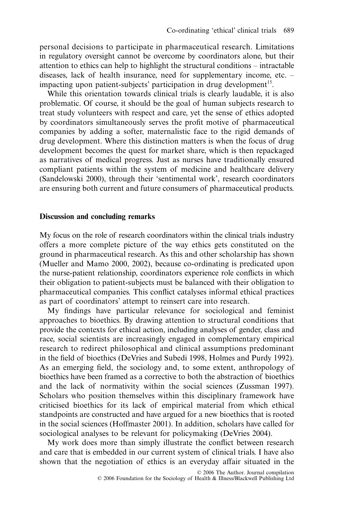personal decisions to participate in pharmaceutical research. Limitations in regulatory oversight cannot be overcome by coordinators alone, but their attention to ethics can help to highlight the structural conditions – intractable diseases, lack of health insurance, need for supplementary income, etc. – impacting upon patient-subjects' participation in drug development<sup>15</sup>.

While this orientation towards clinical trials is clearly laudable, it is also problematic. Of course, it should be the goal of human subjects research to treat study volunteers with respect and care, yet the sense of ethics adopted by coordinators simultaneously serves the profit motive of pharmaceutical companies by adding a softer, maternalistic face to the rigid demands of drug development. Where this distinction matters is when the focus of drug development becomes the quest for market share, which is then repackaged as narratives of medical progress. Just as nurses have traditionally ensured compliant patients within the system of medicine and healthcare delivery (Sandelowski 2000), through their 'sentimental work', research coordinators are ensuring both current and future consumers of pharmaceutical products.

#### **Discussion and concluding remarks**

My focus on the role of research coordinators within the clinical trials industry offers a more complete picture of the way ethics gets constituted on the ground in pharmaceutical research. As this and other scholarship has shown (Mueller and Mamo 2000, 2002), because co-ordinating is predicated upon the nurse-patient relationship, coordinators experience role conflicts in which their obligation to patient-subjects must be balanced with their obligation to pharmaceutical companies. This conflict catalyses informal ethical practices as part of coordinators' attempt to reinsert care into research.

My findings have particular relevance for sociological and feminist approaches to bioethics. By drawing attention to structural conditions that provide the contexts for ethical action, including analyses of gender, class and race, social scientists are increasingly engaged in complementary empirical research to redirect philosophical and clinical assumptions predominant in the field of bioethics (DeVries and Subedi 1998, Holmes and Purdy 1992). As an emerging field, the sociology and, to some extent, anthropology of bioethics have been framed as a corrective to both the abstraction of bioethics and the lack of normativity within the social sciences (Zussman 1997). Scholars who position themselves within this disciplinary framework have criticised bioethics for its lack of empirical material from which ethical standpoints are constructed and have argued for a new bioethics that is rooted in the social sciences (Hoffmaster 2001). In addition, scholars have called for sociological analyses to be relevant for policymaking (DeVries 2004).

My work does more than simply illustrate the conflict between research and care that is embedded in our current system of clinical trials. I have also shown that the negotiation of ethics is an everyday affair situated in the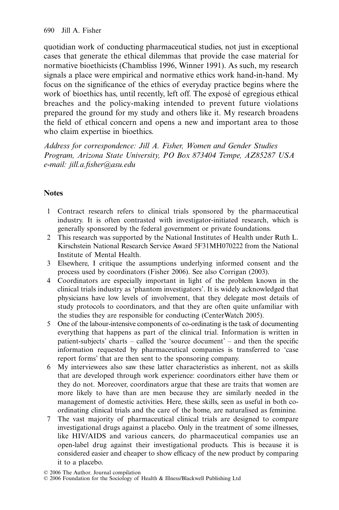quotidian work of conducting pharmaceutical studies, not just in exceptional cases that generate the ethical dilemmas that provide the case material for normative bioethicists (Chambliss 1996, Winner 1991). As such, my research signals a place were empirical and normative ethics work hand-in-hand. My focus on the significance of the ethics of everyday practice begins where the work of bioethics has, until recently, left off. The exposé of egregious ethical breaches and the policy-making intended to prevent future violations prepared the ground for my study and others like it. My research broadens the field of ethical concern and opens a new and important area to those who claim expertise in bioethics.

*Address for correspondence: Jill A. Fisher, Women and Gender Studies Program, Arizona State University, PO Box 873404 Tempe, AZ85287 USA e-mail: jill.a.fisher@asu.edu*

# **Notes**

- 1 Contract research refers to clinical trials sponsored by the pharmaceutical industry. It is often contrasted with investigator-initiated research, which is generally sponsored by the federal government or private foundations.
- 2 This research was supported by the National Institutes of Health under Ruth L. Kirschstein National Research Service Award 5F31MH070222 from the National Institute of Mental Health.
- 3 Elsewhere, I critique the assumptions underlying informed consent and the process used by coordinators (Fisher 2006). See also Corrigan (2003).
- 4 Coordinators are especially important in light of the problem known in the clinical trials industry as 'phantom investigators'. It is widely acknowledged that physicians have low levels of involvement, that they delegate most details of study protocols to coordinators, and that they are often quite unfamiliar with the studies they are responsible for conducting (CenterWatch 2005).
- 5 One of the labour-intensive components of co-ordinating is the task of documenting everything that happens as part of the clinical trial. Information is written in patient-subjects' charts – called the 'source document' – and then the specific information requested by pharmaceutical companies is transferred to 'case report forms' that are then sent to the sponsoring company.
- 6 My interviewees also saw these latter characteristics as inherent, not as skills that are developed through work experience: coordinators either have them or they do not. Moreover, coordinators argue that these are traits that women are more likely to have than are men because they are similarly needed in the management of domestic activities. Here, these skills, seen as useful in both coordinating clinical trials and the care of the home, are naturalised as feminine.
- 7 The vast majority of pharmaceutical clinical trials are designed to compare investigational drugs against a placebo. Only in the treatment of some illnesses, like HIV/AIDS and various cancers, do pharmaceutical companies use an open-label drug against their investigational products. This is because it is considered easier and cheaper to show efficacy of the new product by comparing it to a placebo.

<sup>© 2006</sup> The Author. Journal compilation

<sup>© 2006</sup> Foundation for the Sociology of Health & Illness/Blackwell Publishing Ltd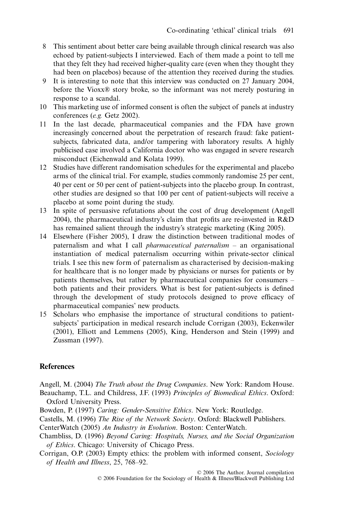- 8 This sentiment about better care being available through clinical research was also echoed by patient-subjects I interviewed. Each of them made a point to tell me that they felt they had received higher-quality care (even when they thought they had been on placebos) because of the attention they received during the studies.
- 9 It is interesting to note that this interview was conducted on 27 January 2004, before the Vioxx® story broke, so the informant was not merely posturing in response to a scandal.
- 10 This marketing use of informed consent is often the subject of panels at industry conferences (*e.g.* Getz 2002).
- 11 In the last decade, pharmaceutical companies and the FDA have grown increasingly concerned about the perpetration of research fraud: fake patientsubjects, fabricated data, and/or tampering with laboratory results. A highly publicised case involved a California doctor who was engaged in severe research misconduct (Eichenwald and Kolata 1999).
- 12 Studies have different randomisation schedules for the experimental and placebo arms of the clinical trial. For example, studies commonly randomise 25 per cent, 40 per cent or 50 per cent of patient-subjects into the placebo group. In contrast, other studies are designed so that 100 per cent of patient-subjects will receive a placebo at some point during the study.
- 13 In spite of persuasive refutations about the cost of drug development (Angell 2004), the pharmaceutical industry's claim that profits are re-invested in R&D has remained salient through the industry's strategic marketing (King 2005).
- 14 Elsewhere (Fisher 2005), I draw the distinction between traditional modes of paternalism and what I call *pharmaceutical paternalism* – an organisational instantiation of medical paternalism occurring within private-sector clinical trials. I see this new form of paternalism as characterised by decision-making for healthcare that is no longer made by physicians or nurses for patients or by patients themselves, but rather by pharmaceutical companies for consumers – both patients and their providers. What is best for patient-subjects is defined through the development of study protocols designed to prove efficacy of pharmaceutical companies' new products.
- 15 Scholars who emphasise the importance of structural conditions to patientsubjects' participation in medical research include Corrigan (2003), Eckenwiler (2001), Elliott and Lemmens (2005), King, Henderson and Stein (1999) and Zussman (1997).

## **References**

Angell, M. (2004) *The Truth about the Drug Companies*. New York: Random House. Beauchamp, T.L. and Childress, J.F. (1993) *Principles of Biomedical Ethics*. Oxford:

- Oxford University Press.
- Bowden, P. (1997) *Caring: Gender-Sensitive Ethics*. New York: Routledge.
- Castells, M. (1996) *The Rise of the Network Society*. Oxford: Blackwell Publishers.

CenterWatch (2005) *An Industry in Evolution*. Boston: CenterWatch.

- Chambliss, D. (1996) *Beyond Caring: Hospitals, Nurses, and the Social Organization of Ethics*. Chicago: University of Chicago Press.
- Corrigan, O.P. (2003) Empty ethics: the problem with informed consent, *Sociology of Health and Illness*, 25, 768–92.

© 2006 The Author. Journal compilation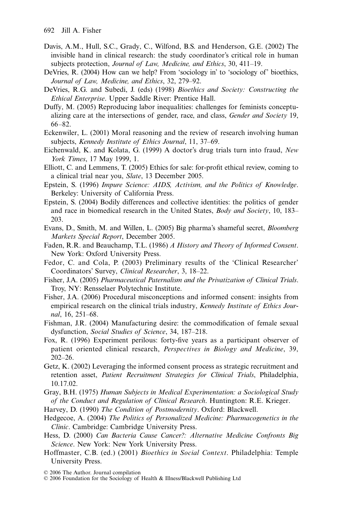- Davis, A.M., Hull, S.C., Grady, C., Wilfond, B.S. and Henderson, G.E. (2002) The invisible hand in clinical research: the study coordinator's critical role in human subjects protection, *Journal of Law, Medicine, and Ethics*, 30, 411–19.
- DeVries, R. (2004) How can we help? From 'sociology in' to 'sociology of' bioethics, *Journal of Law, Medicine, and Ethics*, 32, 279–92.
- DeVries, R.G. and Subedi, J. (eds) (1998) *Bioethics and Society: Constructing the Ethical Enterprise*. Upper Saddle River: Prentice Hall.
- Duffy, M. (2005) Reproducing labor inequalities: challenges for feminists conceptualizing care at the intersections of gender, race, and class, *Gender and Society* 19, 66–82.
- Eckenwiler, L. (2001) Moral reasoning and the review of research involving human subjects, *Kennedy Institute of Ethics Journal*, 11, 37–69.
- Eichenwald, K. and Kolata, G. (1999) A doctor's drug trials turn into fraud, *New York Times*, 17 May 1999, 1.
- Elliott, C. and Lemmens, T. (2005) Ethics for sale: for-profit ethical review, coming to a clinical trial near you, *Slate*, 13 December 2005.
- Epstein, S. (1996) *Impure Science: AIDS, Activism, and the Politics of Knowledge*. Berkeley: University of California Press.
- Epstein, S. (2004) Bodily differences and collective identities: the politics of gender and race in biomedical research in the United States, *Body and Society*, 10, 183– 203.
- Evans, D., Smith, M. and Willen, L. (2005) Big pharma's shameful secret, *Bloomberg Markets Special Report*, December 2005.
- Faden, R.R. and Beauchamp, T.L. (1986) *A History and Theory of Informed Consent*. New York: Oxford University Press.
- Fedor, C. and Cola, P. (2003) Preliminary results of the 'Clinical Researcher' Coordinators' Survey, *Clinical Researcher*, 3, 18–22.
- Fisher, J.A. (2005) *Pharmaceutical Paternalism and the Privatization of Clinical Trials*. Troy, NY: Rensselaer Polytechnic Institute.
- Fisher, J.A. (2006) Procedural misconceptions and informed consent: insights from empirical research on the clinical trials industry, *Kennedy Institute of Ethics Journal*, 16, 251–68.
- Fishman, J.R. (2004) Manufacturing desire: the commodification of female sexual dysfunction, *Social Studies of Science*, 34, 187–218.
- Fox, R. (1996) Experiment perilous: forty-five years as a participant observer of patient oriented clinical research, *Perspectives in Biology and Medicine*, 39, 202–26.
- Getz, K. (2002) Leveraging the informed consent process as strategic recruitment and retention asset, *Patient Recruitment Strategies for Clinical Trials*, Philadelphia, 10.17.02.
- Gray, B.H. (1975) *Human Subjects in Medical Experimentation: a Sociological Study of the Conduct and Regulation of Clinical Research*. Huntington: R.E. Krieger.
- Harvey, D. (1990) *The Condition of Postmodernity*. Oxford: Blackwell.
- Hedgecoe, A. (2004) *The Politics of Personalized Medicine: Pharmacogenetics in the Clinic*. Cambridge: Cambridge University Press.
- Hess, D. (2000) *Can Bacteria Cause Cancer?: Alternative Medicine Confronts Big Science*. New York: New York University Press.
- Hoffmaster, C.B. (ed.) (2001) *Bioethics in Social Context*. Philadelphia: Temple University Press.

© 2006 The Author. Journal compilation

© 2006 Foundation for the Sociology of Health & Illness/Blackwell Publishing Ltd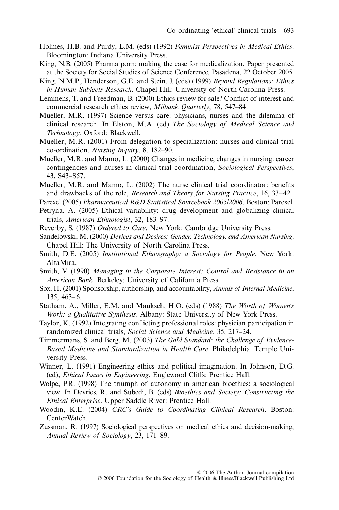- Holmes, H.B. and Purdy, L.M. (eds) (1992) *Feminist Perspectives in Medical Ethics*. Bloomington: Indiana University Press.
- King, N.B. (2005) Pharma porn: making the case for medicalization. Paper presented at the Society for Social Studies of Science Conference, Pasadena, 22 October 2005.
- King, N.M.P., Henderson, G.E. and Stein, J. (eds) (1999) *Beyond Regulations: Ethics in Human Subjects Research*. Chapel Hill: University of North Carolina Press.
- Lemmens, T. and Freedman, B. (2000) Ethics review for sale? Conflict of interest and commercial research ethics review, *Milbank Quarterly*, 78, 547–84.
- Mueller, M.R. (1997) Science versus care: physicians, nurses and the dilemma of clinical research. In Elston, M.A. (ed) *The Sociology of Medical Science and Technology*. Oxford: Blackwell.
- Mueller, M.R. (2001) From delegation to specialization: nurses and clinical trial co-ordination, *Nursing Inquiry*, 8, 182–90.
- Mueller, M.R. and Mamo, L. (2000) Changes in medicine, changes in nursing: career contingencies and nurses in clinical trial coordination, *Sociological Perspectives*, 43, S43–S57.
- Mueller, M.R. and Mamo, L. (2002) The nurse clinical trial coordinator: benefits and drawbacks of the role, *Research and Theory for Nursing Practice*, 16, 33–42.
- Parexel (2005) *Pharmaceutical R&D Statistical Sourcebook 2005/2006*. Boston: Parexel.
- Petryna, A. (2005) Ethical variability: drug development and globalizing clinical trials, *American Ethnologist*, 32, 183–97.
- Reverby, S. (1987) *Ordered to Care*. New York: Cambridge University Press.
- Sandelowski, M. (2000) *Devices and Desires: Gender, Technology, and American Nursing*. Chapel Hill: The University of North Carolina Press.
- Smith, D.E. (2005) *Institutional Ethnography: a Sociology for People*. New York: AltaMira.
- Smith, V. (1990) *Managing in the Corporate Interest: Control and Resistance in an American Bank*. Berkeley: University of California Press.
- Sox, H. (2001) Sponsorship, authorship, and accountability, *Annals of Internal Medicine*, 135, 463–6.
- Statham, A., Miller, E.M. and Mauksch, H.O. (eds) (1988) *The Worth of Women's Work: a Qualitative Synthesis*. Albany: State University of New York Press.
- Taylor, K. (1992) Integrating conflicting professional roles: physician participation in randomized clinical trials, *Social Science and Medicine*, 35, 217–24.
- Timmermans, S. and Berg, M. (2003) *The Gold Standard: the Challenge of Evidence-Based Medicine and Standardization in Health Care*. Philadelphia: Temple University Press.
- Winner, L. (1991) Engineering ethics and political imagination. In Johnson, D.G. (ed), *Ethical Issues in Engineering*. Englewood Cliffs: Prentice Hall.
- Wolpe, P.R. (1998) The triumph of autonomy in american bioethics: a sociological view. In Devries, R. and Subedi, B. (eds) *Bioethics and Society: Constructing the Ethical Enterprise*. Upper Saddle River: Prentice Hall.
- Woodin, K.E. (2004) *CRC's Guide to Coordinating Clinical Research*. Boston: CenterWatch.
- Zussman, R. (1997) Sociological perspectives on medical ethics and decision-making, *Annual Review of Sociology*, 23, 171–89.